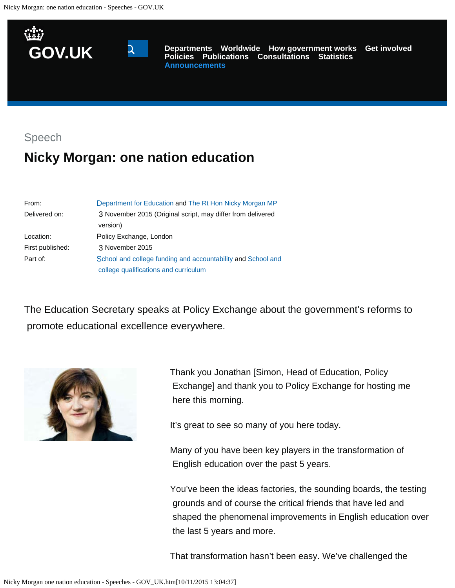



**[Departments](https://www.gov.uk/government/organisations) [Worldwide](https://www.gov.uk/government/world) [How government works](https://www.gov.uk/government/how-government-works) [Get involved](https://www.gov.uk/government/get-involved) [Policies](https://www.gov.uk/government/policies) [Publications](https://www.gov.uk/government/publications) [Consultations](https://www.gov.uk/government/publications?publication_filter_option=consultations) [Statistics](https://www.gov.uk/government/statistics) [Announcements](https://www.gov.uk/government/announcements)**

Speech

# **Nicky Morgan: one nation education**

| From:            | Department for Education and The Rt Hon Nicky Morgan MP      |
|------------------|--------------------------------------------------------------|
| Delivered on:    | 3 November 2015 (Original script, may differ from delivered  |
|                  | version)                                                     |
| Location:        | Policy Exchange, London                                      |
| First published: | 3 November 2015                                              |
| Part of:         | School and college funding and accountability and School and |
|                  | college qualifications and curriculum                        |

The Education Secretary speaks at Policy Exchange about the government's reforms to promote educational excellence everywhere.



Thank you Jonathan [Simon, Head of Education, Policy Exchange] and thank you to Policy Exchange for hosting me here this morning.

It's great to see so many of you here today.

Many of you have been key players in the transformation of English education over the past 5 years.

You've been the ideas factories, the sounding boards, the testing grounds and of course the critical friends that have led and shaped the phenomenal improvements in English education over the last 5 years and more.

That transformation hasn't been easy. We've challenged the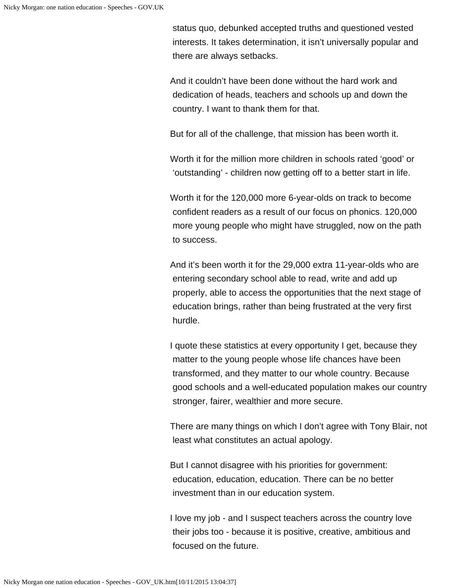status quo, debunked accepted truths and questioned vested interests. It takes determination, it isn't universally popular and there are always setbacks.

And it couldn't have been done without the hard work and dedication of heads, teachers and schools up and down the country. I want to thank them for that.

But for all of the challenge, that mission has been worth it.

Worth it for the million more children in schools rated 'good' or 'outstanding' - children now getting off to a better start in life.

Worth it for the 120,000 more 6-year-olds on track to become confident readers as a result of our focus on phonics. 120,000 more young people who might have struggled, now on the path to success.

And it's been worth it for the 29,000 extra 11-year-olds who are entering secondary school able to read, write and add up properly, able to access the opportunities that the next stage of education brings, rather than being frustrated at the very first hurdle.

I quote these statistics at every opportunity I get, because they matter to the young people whose life chances have been transformed, and they matter to our whole country. Because good schools and a well-educated population makes our country stronger, fairer, wealthier and more secure.

There are many things on which I don't agree with Tony Blair, not least what constitutes an actual apology.

But I cannot disagree with his priorities for government: education, education, education. There can be no better investment than in our education system.

I love my job - and I suspect teachers across the country love their jobs too - because it is positive, creative, ambitious and focused on the future.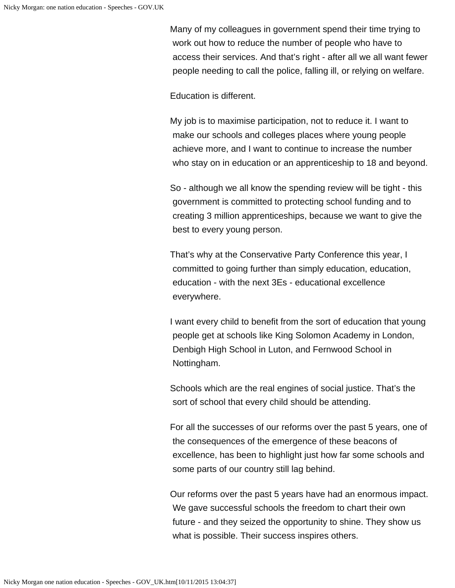Many of my colleagues in government spend their time trying to work out how to reduce the number of people who have to access their services. And that's right - after all we all want fewer people needing to call the police, falling ill, or relying on welfare.

Education is different.

My job is to maximise participation, not to reduce it. I want to make our schools and colleges places where young people achieve more, and I want to continue to increase the number who stay on in education or an apprenticeship to 18 and beyond.

So - although we all know the spending review will be tight - this government is committed to protecting school funding and to creating 3 million apprenticeships, because we want to give the best to every young person.

That's why at the Conservative Party Conference this year, I committed to going further than simply education, education, education - with the next 3Es - educational excellence everywhere.

I want every child to benefit from the sort of education that young people get at schools like King Solomon Academy in London, Denbigh High School in Luton, and Fernwood School in Nottingham.

Schools which are the real engines of social justice. That's the sort of school that every child should be attending.

For all the successes of our reforms over the past 5 years, one of the consequences of the emergence of these beacons of excellence, has been to highlight just how far some schools and some parts of our country still lag behind.

Our reforms over the past 5 years have had an enormous impact. We gave successful schools the freedom to chart their own future - and they seized the opportunity to shine. They show us what is possible. Their success inspires others.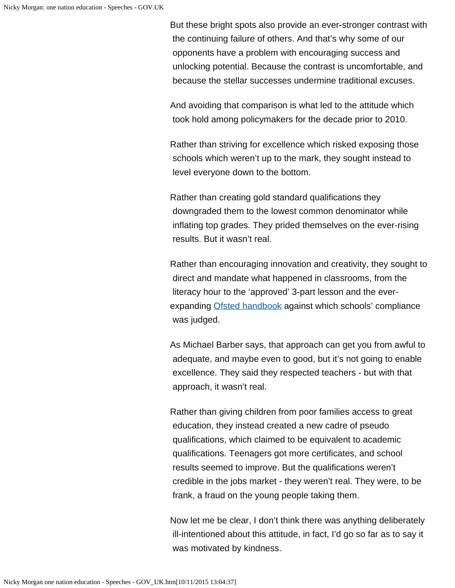But these bright spots also provide an ever-stronger contrast with the continuing failure of others. And that's why some of our opponents have a problem with encouraging success and unlocking potential. Because the contrast is uncomfortable, and because the stellar successes undermine traditional excuses.

And avoiding that comparison is what led to the attitude which took hold among policymakers for the decade prior to 2010.

Rather than striving for excellence which risked exposing those schools which weren't up to the mark, they sought instead to level everyone down to the bottom.

Rather than creating gold standard qualifications they downgraded them to the lowest common denominator while inflating top grades. They prided themselves on the ever-rising results. But it wasn't real.

Rather than encouraging innovation and creativity, they sought to direct and mandate what happened in classrooms, from the literacy hour to the 'approved' 3-part lesson and the ever-expanding [Ofsted handbook](https://www.gov.uk/government/publications/school-inspection-handbook-from-september-2015) against which schools' compliance was judged.

As Michael Barber says, that approach can get you from awful to adequate, and maybe even to good, but it's not going to enable excellence. They said they respected teachers - but with that approach, it wasn't real.

Rather than giving children from poor families access to great education, they instead created a new cadre of pseudo qualifications, which claimed to be equivalent to academic qualifications. Teenagers got more certificates, and school results seemed to improve. But the qualifications weren't credible in the jobs market - they weren't real. They were, to be frank, a fraud on the young people taking them.

Now let me be clear, I don't think there was anything deliberately ill-intentioned about this attitude, in fact, I'd go so far as to say it was motivated by kindness.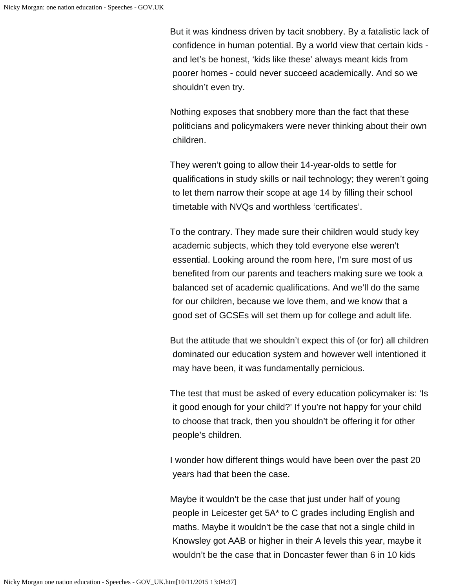But it was kindness driven by tacit snobbery. By a fatalistic lack of confidence in human potential. By a world view that certain kids and let's be honest, 'kids like these' always meant kids from poorer homes - could never succeed academically. And so we shouldn't even try.

Nothing exposes that snobbery more than the fact that these politicians and policymakers were never thinking about their own children.

They weren't going to allow their 14-year-olds to settle for qualifications in study skills or nail technology; they weren't going to let them narrow their scope at age 14 by filling their school timetable with NVQs and worthless 'certificates'.

To the contrary. They made sure their children would study key academic subjects, which they told everyone else weren't essential. Looking around the room here, I'm sure most of us benefited from our parents and teachers making sure we took a balanced set of academic qualifications. And we'll do the same for our children, because we love them, and we know that a good set of GCSEs will set them up for college and adult life.

But the attitude that we shouldn't expect this of (or for) all children dominated our education system and however well intentioned it may have been, it was fundamentally pernicious.

The test that must be asked of every education policymaker is: 'Is it good enough for your child?' If you're not happy for your child to choose that track, then you shouldn't be offering it for other people's children.

I wonder how different things would have been over the past 20 years had that been the case.

Maybe it wouldn't be the case that just under half of young people in Leicester get 5A\* to C grades including English and maths. Maybe it wouldn't be the case that not a single child in Knowsley got AAB or higher in their A levels this year, maybe it wouldn't be the case that in Doncaster fewer than 6 in 10 kids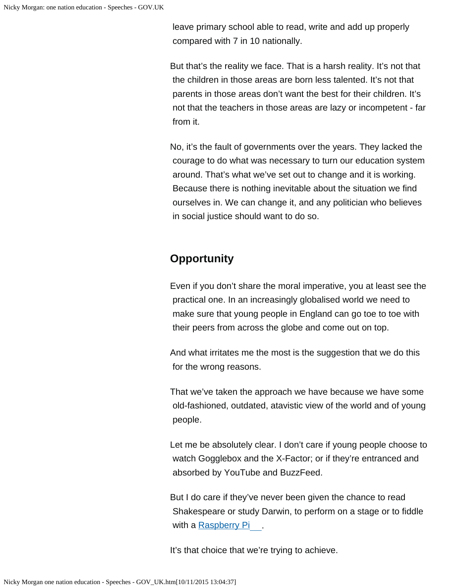leave primary school able to read, write and add up properly compared with 7 in 10 nationally.

But that's the reality we face. That is a harsh reality. It's not that the children in those areas are born less talented. It's not that parents in those areas don't want the best for their children. It's not that the teachers in those areas are lazy or incompetent - far from it.

No, it's the fault of governments over the years. They lacked the courage to do what was necessary to turn our education system around. That's what we've set out to change and it is working. Because there is nothing inevitable about the situation we find ourselves in. We can change it, and any politician who believes in social justice should want to do so.

# **Opportunity**

Even if you don't share the moral imperative, you at least see the practical one. In an increasingly globalised world we need to make sure that young people in England can go toe to toe with their peers from across the globe and come out on top.

And what irritates me the most is the suggestion that we do this for the wrong reasons.

That we've taken the approach we have because we have some old-fashioned, outdated, atavistic view of the world and of young people.

Let me be absolutely clear. I don't care if young people choose to watch Gogglebox and the X-Factor; or if they're entranced and absorbed by YouTube and BuzzFeed.

But I do care if they've never been given the chance to read Shakespeare or study Darwin, to perform on a stage or to fiddle with a [Raspberry Pi](https://www.raspberrypi.org/)

It's that choice that we're trying to achieve.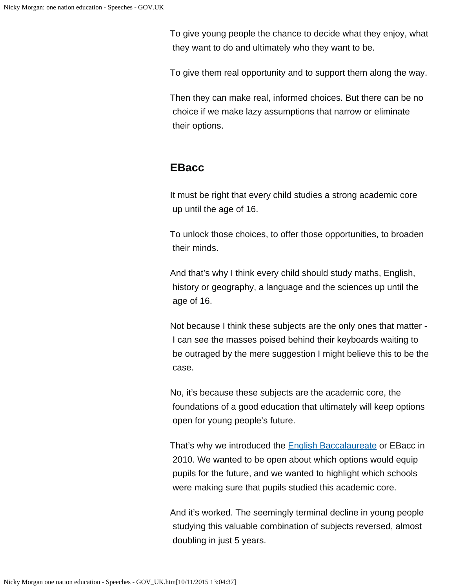To give young people the chance to decide what they enjoy, what they want to do and ultimately who they want to be.

To give them real opportunity and to support them along the way.

Then they can make real, informed choices. But there can be no choice if we make lazy assumptions that narrow or eliminate their options.

### **EBacc**

It must be right that every child studies a strong academic core up until the age of 16.

To unlock those choices, to offer those opportunities, to broaden their minds.

And that's why I think every child should study maths, English, history or geography, a language and the sciences up until the age of 16.

Not because I think these subjects are the only ones that matter - I can see the masses poised behind their keyboards waiting to be outraged by the mere suggestion I might believe this to be the case.

No, it's because these subjects are the academic core, the foundations of a good education that ultimately will keep options open for young people's future.

That's why we introduced the **English Baccalaureate** or EBacc in 2010. We wanted to be open about which options would equip pupils for the future, and we wanted to highlight which schools were making sure that pupils studied this academic core.

And it's worked. The seemingly terminal decline in young people studying this valuable combination of subjects reversed, almost doubling in just 5 years.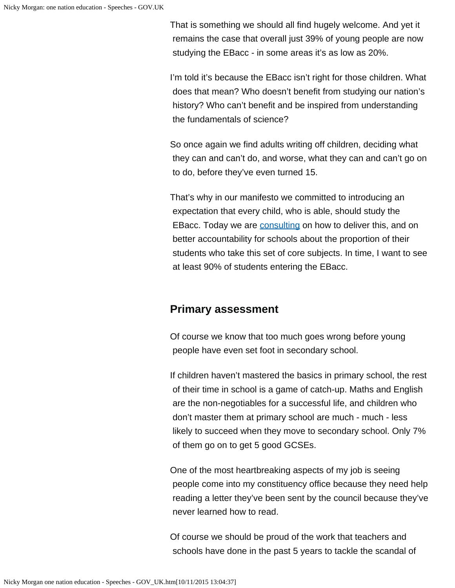That is something we should all find hugely welcome. And yet it remains the case that overall just 39% of young people are now studying the EBacc - in some areas it's as low as 20%.

I'm told it's because the EBacc isn't right for those children. What does that mean? Who doesn't benefit from studying our nation's history? Who can't benefit and be inspired from understanding the fundamentals of science?

So once again we find adults writing off children, deciding what they can and can't do, and worse, what they can and can't go on to do, before they've even turned 15.

That's why in our manifesto we committed to introducing an expectation that every child, who is able, should study the EBacc. Today we are [consulting](https://www.gov.uk/government/consultations/implementing-the-english-baccalaureate) on how to deliver this, and on better accountability for schools about the proportion of their students who take this set of core subjects. In time, I want to see at least 90% of students entering the EBacc.

### **Primary assessment**

Of course we know that too much goes wrong before young people have even set foot in secondary school.

If children haven't mastered the basics in primary school, the rest of their time in school is a game of catch-up. Maths and English are the non-negotiables for a successful life, and children who don't master them at primary school are much - much - less likely to succeed when they move to secondary school. Only 7% of them go on to get 5 good GCSEs.

One of the most heartbreaking aspects of my job is seeing people come into my constituency office because they need help reading a letter they've been sent by the council because they've never learned how to read.

Of course we should be proud of the work that teachers and schools have done in the past 5 years to tackle the scandal of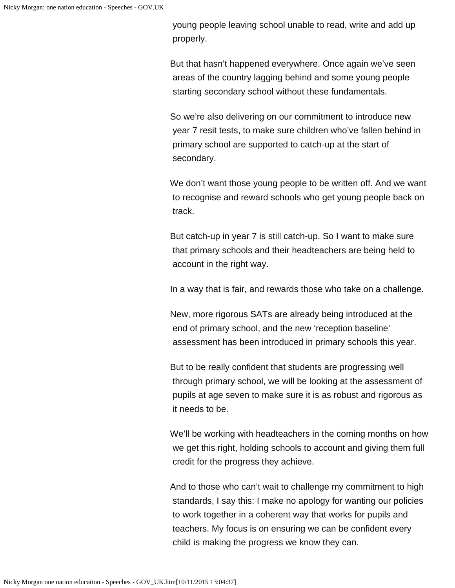young people leaving school unable to read, write and add up properly.

But that hasn't happened everywhere. Once again we've seen areas of the country lagging behind and some young people starting secondary school without these fundamentals.

So we're also delivering on our commitment to introduce new year 7 resit tests, to make sure children who've fallen behind in primary school are supported to catch-up at the start of secondary.

We don't want those young people to be written off. And we want to recognise and reward schools who get young people back on track.

But catch-up in year 7 is still catch-up. So I want to make sure that primary schools and their headteachers are being held to account in the right way.

In a way that is fair, and rewards those who take on a challenge.

New, more rigorous SATs are already being introduced at the end of primary school, and the new 'reception baseline' assessment has been introduced in primary schools this year.

But to be really confident that students are progressing well through primary school, we will be looking at the assessment of pupils at age seven to make sure it is as robust and rigorous as it needs to be.

We'll be working with headteachers in the coming months on how we get this right, holding schools to account and giving them full credit for the progress they achieve.

And to those who can't wait to challenge my commitment to high standards, I say this: I make no apology for wanting our policies to work together in a coherent way that works for pupils and teachers. My focus is on ensuring we can be confident every child is making the progress we know they can.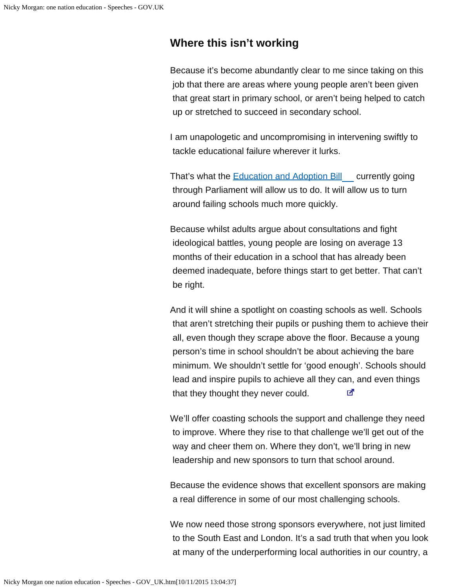### **Where this isn't working**

Because it's become abundantly clear to me since taking on this job that there are areas where young people aren't been given that great start in primary school, or aren't being helped to catch up or stretched to succeed in secondary school.

I am unapologetic and uncompromising in intervening swiftly to tackle educational failure wherever it lurks.

That's what the **Education and Adoption Bill** currently going through Parliament will allow us to do. It will allow us to turn around failing schools much more quickly.

Because whilst adults argue about consultations and fight ideological battles, young people are losing on average 13 months of their education in a school that has already been deemed inadequate, before things start to get better. That can't be right.

And it will shine a spotlight on coasting schools as well. Schools that aren't stretching their pupils or pushing them to achieve their all, even though they scrape above the floor. Because a young person's time in school shouldn't be about achieving the bare minimum. We shouldn't settle for 'good enough'. Schools should lead and inspire pupils to achieve all they can, and even things क that they thought they never could.

We'll offer coasting schools the support and challenge they need to improve. Where they rise to that challenge we'll get out of the way and cheer them on. Where they don't, we'll bring in new leadership and new sponsors to turn that school around.

Because the evidence shows that excellent sponsors are making a real difference in some of our most challenging schools.

We now need those strong sponsors everywhere, not just limited to the South East and London. It's a sad truth that when you look at many of the underperforming local authorities in our country, a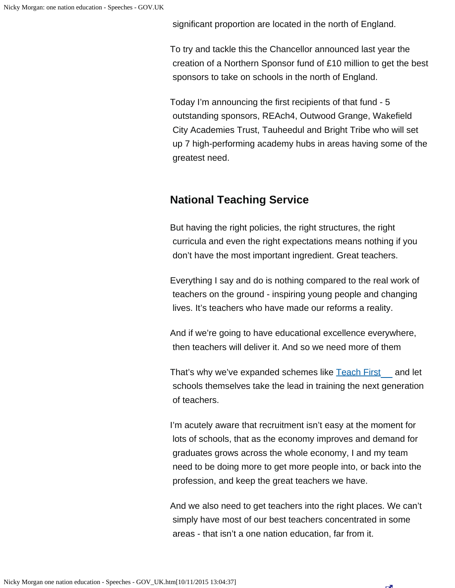significant proportion are located in the north of England.

To try and tackle this the Chancellor announced last year the creation of a Northern Sponsor fund of £10 million to get the best sponsors to take on schools in the north of England.

Today I'm announcing the first recipients of that fund - 5 outstanding sponsors, REAch4, Outwood Grange, Wakefield City Academies Trust, Tauheedul and Bright Tribe who will set up 7 high-performing academy hubs in areas having some of the greatest need.

# **National Teaching Service**

But having the right policies, the right structures, the right curricula and even the right expectations means nothing if you don't have the most important ingredient. Great teachers.

Everything I say and do is nothing compared to the real work of teachers on the ground - inspiring young people and changing lives. It's teachers who have made our reforms a reality.

And if we're going to have educational excellence everywhere, then teachers will deliver it. And so we need more of them

That's why we've expanded schemes like [Teach First](http://www.teachfirst.org.uk/) and let schools themselves take the lead in training the next generation of teachers.

I'm acutely aware that recruitment isn't easy at the moment for lots of schools, that as the economy improves and demand for graduates grows across the whole economy, I and my team need to be doing more to get more people into, or back into the profession, and keep the great teachers we have.

And we also need to get teachers into the right places. We can't simply have most of our best teachers concentrated in some areas - that isn't a one nation education, far from it.

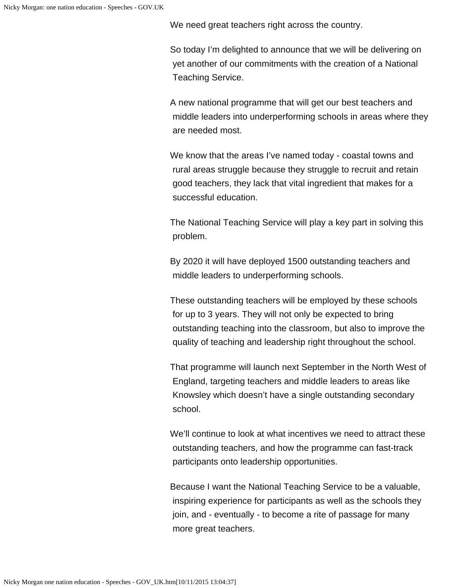We need great teachers right across the country.

So today I'm delighted to announce that we will be delivering on yet another of our commitments with the creation of a National Teaching Service.

A new national programme that will get our best teachers and middle leaders into underperforming schools in areas where they are needed most.

We know that the areas I've named today - coastal towns and rural areas struggle because they struggle to recruit and retain good teachers, they lack that vital ingredient that makes for a successful education.

The National Teaching Service will play a key part in solving this problem.

By 2020 it will have deployed 1500 outstanding teachers and middle leaders to underperforming schools.

These outstanding teachers will be employed by these schools for up to 3 years. They will not only be expected to bring outstanding teaching into the classroom, but also to improve the quality of teaching and leadership right throughout the school.

That programme will launch next September in the North West of England, targeting teachers and middle leaders to areas like Knowsley which doesn't have a single outstanding secondary school.

We'll continue to look at what incentives we need to attract these outstanding teachers, and how the programme can fast-track participants onto leadership opportunities.

Because I want the National Teaching Service to be a valuable, inspiring experience for participants as well as the schools they join, and - eventually - to become a rite of passage for many more great teachers.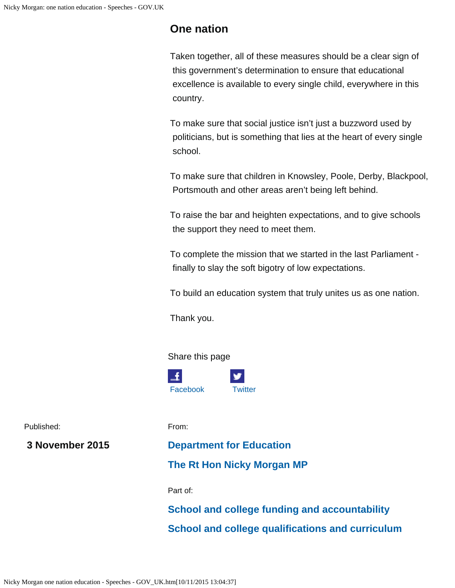### **One nation**

Taken together, all of these measures should be a clear sign of this government's determination to ensure that educational excellence is available to every single child, everywhere in this country.

To make sure that social justice isn't just a buzzword used by politicians, but is something that lies at the heart of every single school.

To make sure that children in Knowsley, Poole, Derby, Blackpool, Portsmouth and other areas aren't being left behind.

To raise the bar and heighten expectations, and to give schools the support they need to meet them.

To complete the mission that we started in the last Parliament finally to slay the soft bigotry of low expectations.

To build an education system that truly unites us as one nation.

Thank you.

#### Share this page



Published:

 **3 November 2015**

From:

### **[Department for Education](https://www.gov.uk/government/organisations/department-for-education)**

### **[The Rt Hon](https://www.gov.uk/government/people/nicky-morgan) [Nicky Morgan MP](https://www.gov.uk/government/people/nicky-morgan)**

Part of:

**[School and college funding and accountability](https://www.gov.uk/government/policies/school-and-college-funding-and-accountability) [School and college qualifications and curriculum](https://www.gov.uk/government/policies/school-and-college-qualifications-and-curriculum)**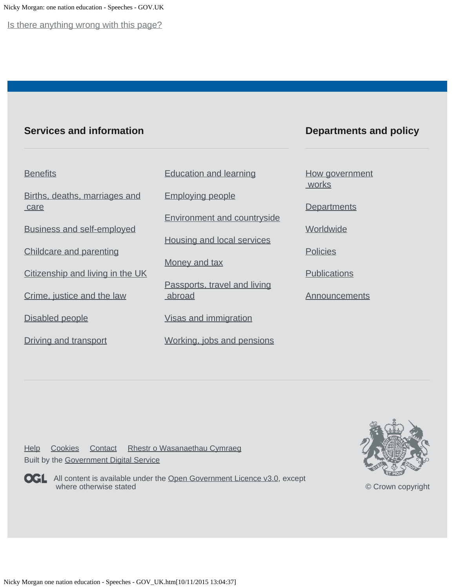Nicky Morgan: one nation education - Speeches - GOV.UK

Is there anything wrong with this page?

### **Services and information**

### **Departments and policy**

#### **[Benefits](https://www.gov.uk/browse/benefits)**

[Births, deaths, marriages and](https://www.gov.uk/browse/births-deaths-marriages)  [care](https://www.gov.uk/browse/births-deaths-marriages)

[Business and self-employed](https://www.gov.uk/browse/business)

[Childcare and parenting](https://www.gov.uk/browse/childcare-parenting)

[Citizenship and living in the UK](https://www.gov.uk/browse/citizenship)

[Crime, justice and the law](https://www.gov.uk/browse/justice)

[Disabled people](https://www.gov.uk/browse/disabilities)

[Driving and transport](https://www.gov.uk/browse/driving)

[Education and learning](https://www.gov.uk/browse/education)

[Employing people](https://www.gov.uk/browse/employing-people)

[Environment and countryside](https://www.gov.uk/browse/environment-countryside)

[Housing and local services](https://www.gov.uk/browse/housing-local-services)

[Money and tax](https://www.gov.uk/browse/tax)

[Passports, travel and living](https://www.gov.uk/browse/abroad) [abroad](https://www.gov.uk/browse/abroad)

[Visas and immigration](https://www.gov.uk/browse/visas-immigration)

[Working, jobs and pensions](https://www.gov.uk/browse/working)

#### [How government](https://www.gov.uk/government/how-government-works) **works**

**[Departments](https://www.gov.uk/government/organisations)** 

**[Worldwide](https://www.gov.uk/government/world)** 

**[Policies](https://www.gov.uk/government/policies)** 

**[Publications](https://www.gov.uk/government/publications)** 

[Announcements](https://www.gov.uk/government/announcements)

[Help](https://www.gov.uk/help) [Cookies](https://www.gov.uk/help/cookies) [Contact](https://www.gov.uk/contact) [Rhestr o Wasanaethau Cymraeg](https://www.gov.uk/cymraeg) Built by the [Government Digital Service](https://www.gov.uk/government/organisations/government-digital-service)



**OGL** All content is available under the [Open Government Licence v3.0](https://www.nationalarchives.gov.uk/doc/open-government-licence/version/3/), except where otherwise stated



[© Crown copyright](http://www.nationalarchives.gov.uk/information-management/re-using-public-sector-information/copyright-and-re-use/crown-copyright/)